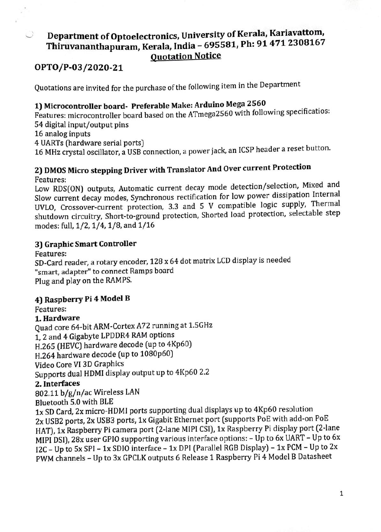# Department of Optoelectronics, University of Kerala, Kariavattom, Thiruvananthapuram, Kerala, India - 695581, Ph: 91 471 2308167 Quotation Notice

# OPTO/P-03/2020-21

Quotations are invited for the purchase of the following item in the Department

# 1) Microcontroller board- Preferable Make: Arduino Mega <sup>2560</sup>

Features: microcontroller board based on the ATmega2560 with following specificatios: 54 digital input/output pins

16 analog inputs

 $\mathbb{R}^2$ 

U

4 UARTs (hardware serial ports)

16 MHz crystal oscillator, a USB connection, a power jack, an ICSP header a reset button.

# 2) DMOS Micro stepping Driver with Translator And Over current Protection Features:

Low RDS[ON) outputs, Automatic current decay mode detection/selection, Mixed and Slow current decay modes, Synchronous rectification for low power dissipation Internal UVLO, Crossover-current protection, 3.3 and 5 V compatible logic supply, Thermal shutdown circuitry, Short-to-ground protection, Shorted load protection, selectable step modes: full, 1/2, 1/4, 1/8, and 1/16

# 3) Graphic Smart Controller

Features:

SD-Card reader, a rotary encoder, 128 x 64 dot matrix LCD display is needed "smart, adapter" to connect Ramps board Plug and play on the RAMPS.

# 4) Raspberry Pi 4 Model B

Features:

# 1. Hardware

Quad core 64-bit ARM-Cortex A72 running at 1.5GHz 1, 2 and 4 Gigabyte LPDDR4 RAM options

H.265 (HEVC) hardware decode (up to 4Kp60)

H.264 hardware decode (up to 1080p60)

Video Core VI 3D Graphics

Supports dual HDMI display output up to 4Kp60 2.2

# 2. Interfaces

802.11 b/g/n/ac Wireless LAN

Bluetooth 5.0 with BLE

1x SD Card, 2x micro-HDMI ports supporting dual displays up to 4Kp60 resolution 2x USB2 ports, 2x USB3 ports, 1x Gigabit Ethernet port (supports PoE with add-on PoE HAT), 1x Raspberry Pi camera port (2-lane MIPI CSI), 1x Raspberry Pi display port (2-lane MIPÍ DSI), 28x user GPI0 supporting various interface options: - Up to 6x UART- Up to 6x 12C-Up to 5x SPI - 1x SDIo interface 1x DPI (Parallel RGB Display)- 1x PCM -Up to 2x PWM channels - Up to 3x GPCLK outputs 6 Release 1 Raspberry Pi 4 Model B Datasheet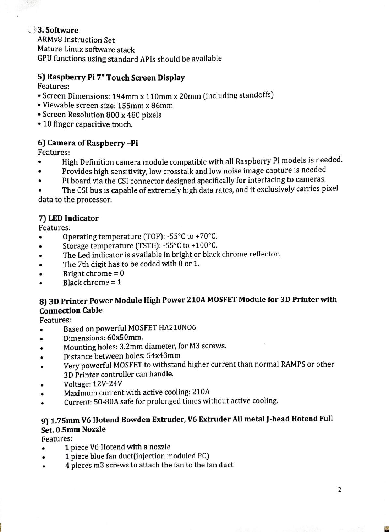# 3. Software

ARMv8 Instruction Set Mature Linux software stack GPU functions using standard APls should be available

# 5) Raspberry Pi 7" Touch Screen Display

Features:

- Screen Dimensions: 194mm x 110mmx 20mm (including standofs)
- Viewable screen size: 155mmx 86mm
- Screen Resolution 800 x 480 pixels
- 10 finger capacitive touch.

# 6) Camera of Raspberry-Pi

Features:

- High Definition camera module compatible with all Raspberry Pi models is needed.  $\bullet$
- Provides high sensitivity, low crosstalk and low noise image capture is needed
- Pi board via the CSI connector designed specifically for interfacing to cameras.  $\bullet$

The CSI bus is capable of extremely high data rates, and it exclusively carries pixel data to the processor.

# 7) LED Indicator

Features:

- Operating temperature (TOP): -55°C to +70°C.
- Storage temperature (TSTG): -55°C to +100°C.  $\bullet$
- The Led indicator is available in bright or black chrome reflector.
- The 7th digit has to be coded with 0 or 1.
- Bright chrome = 0  $\bullet$
- Black chrome = 1

### 8) 3D Printer Power Module High Power 210A MOSFET Module for 3D Printer with Connection Cable

Features:

- Based on powerful MOSFET HA210NO6  $\bullet$
- Dimensions: 60x50mm.  $\bullet$
- Mounting holes: 3.2mm diameter, for M3 screws.
- Distance between holes: 54x43mm  $\bullet$
- Very powerful MOSFET to withstand higher current than normal RAMPS or other 3D Printer controller can handle.
- Voltage: 12V-24V
- Maximum current with active cooling: 210A  $\bullet$
- Current: 50-80A safe for prolonged times without active cooling.

# 9) 1.75mm V6 Hotend Bowden Extruder, V6 Extruder All metal J-head Hotend Full Set, 0.5mm Nozzle

Features:

- 1 piece V6 Hotend with a nozzle  $\bullet$
- 1 piece blue fan duct(injection moduled PC)
- 4 pieces m3 screws to attach the fan to the fan duct  $\bullet$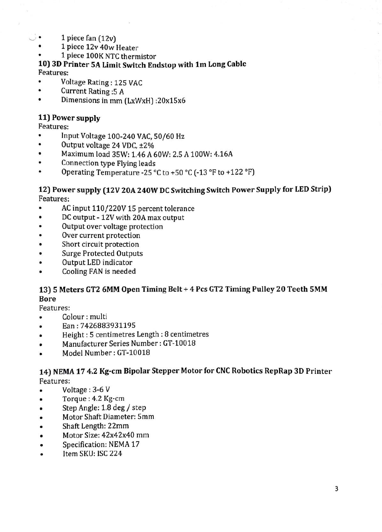- ). 1 piece fan (12v)
	- 1 piece 12v 40w Heater
	- 1 piece 100K NTC thermistor

#### 10) 3D Printer 5A Limit Switch Endstop with 1m Long Cable Features:

- Voltage Rating: 125 VAC
- $\bullet$ Current Rating:5 A
- Dimensions in mm (LxWxH) :20x15x6  $\bullet$

#### 11) Power supply

Features:

- Input Voltage 100-240 VAC, 50/60 Hz
- $\bullet$ Output voltage 24 VDC, ±2%
- $\bullet$ Maximum load 35W: 1.46 A 60W: 2.5 A 100W: 4.16A
- Connection type Flying leads
- Operating Temperature -25 °C to +50 °C (-13 °F to +122 °F)

#### 12) Power supply (12V 20A 240W DC Switching Switch Power Supply for LED Strip) Features:

- AC input 110/220V 15 percent tolerance
- $\bullet$ DC output - 12V with 20A max output
- Output over voltage protection  $\bullet$
- Over current protection
- Short circuit protection  $\bullet$
- Surge Protected Outputs  $\bullet$
- Output LED indicator
- Cooling FAN is needed  $\bullet$

#### 13) 5 Meters GT2 6MM Open Timing Belt + 4 Pes GT2 Timing Pulley 20 Teeth 5MM Bore

#### Features:

- Colour : multi  $\bullet$
- Ean: 7426883931195 ٠
- Height:5 centimetres Length:8 centimetres
- Manufacturer Series Number:GT-10018
- Model Number: GT-10018

#### 14) NEMA 17 4.2 Kg-cm Bipolar Stepper Motor for CNC Robotics RepRap 3D Printer Features:

- Voltage:3-6 V
- Torque: 4.2 Kg-cm  $\bullet$
- Step Angle: 1.8 deg/ step  $\bullet$
- Motor Shaft Diameter: 5mm
- Shaft Length: 22mm  $\bullet$
- Motor Size: 42x42x40 mm  $\bullet$
- Specification: NEMA 17  $\bullet$
- Item SKU: ISC 224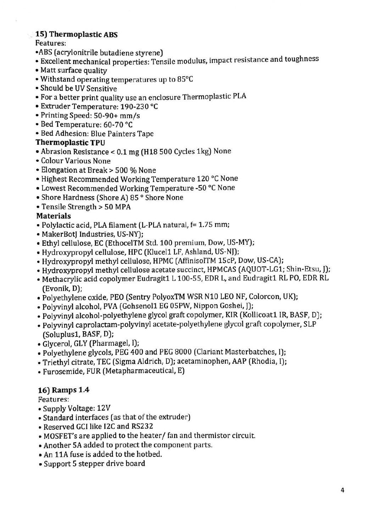### 15) Thermoplastic ABS

### Features:

- ABS (acrylonitrile butadiene styrene)
- Excellent mechanical properties: Tensile modulus, impact resistance and toughness
- 
- Withstand operating temperatures up to  $85^{\circ}$ C
- Should be UV Sensitive
- For a better print quality use an enclosure Thermoplastic PLA
- Extruder Temperature: 190-230 °C
- Printing Speed: 50-90+ mm/s
- Bed Temperature: 60-70 °C
- Bed Adhesion: Blue Painters Tape

### Thermoplastic TPU

- Abrasion Resistance < 0.1 mg (H18 500 Cycles 1kg) None
- Colour Various None
- Elongation at Break> 500 % None
- Highest Recommended Working Temperature 120 °C None
- Lowest Recommended Working Temperature -50 °C None
- Shore Hardness (Shore A) 85 ° Shore None
- Tensile Strength > 50 MPA

# Materials

- Polylactic acid, PLA filament (L-PLA natural, f= 1.75 mm;
- 
- MakerBotJ Industries, US-NY);<br>• Ethyl cellulose, EC (EthocelTM Std. 100 premium, Dow, US-MY);
- Hydroxypropyl cellulose, HPC (Klucel1 LF, Ashland, US-NJ);
- Hydroxypropyl methyl cellulose, HPMC (AffinisolTM 15cP, Dow, US-CA);
- Hydroxypropyl methyl cellulose acetate succinct, HPMCAS (AQUOT-LG1; Shin-Etsu, J):
- Methacrylic acid copolymer Eudragit1 L 100-55, EDR L, and Eudragit1 RL PO, EDR RL (Evonik, D);
- Polyethylene oxide, PEO (Sentry PolyoxTM WSR N10 LEO NF, Colorcon, UK);
- · Polyvinyl alcohol, PVA (Gohsenol1 EG 05PW, Nippon Goshei, [];
- Polyvinyl alcohol-polyethylene glycol graft copolymer, KIR (Kollicoat1 IR, BASF, D);
- Polyvinyl caprolactam-polyvinyl acetate-polyethylene glycol graft copolymer, SLP (Soluplus1, BASF, D):
- Glycerol, GLY (Pharmagel, I);
- Polyethylene glycols, PEG 400 and PEG 8000 (Clariant Masterbatches, 1):
- Triethyl citrate, TEC (Sigma Aldrich, D); acetaminophen, AAP (Rhodia, I):
- Furosemide, FUR (Metapharmaceutical, E)

# 16) Ramps 1.4

Features:

- Supply Voltage: 12V
- Standard interfaces (as that of the extruder)
- Reserved GCI like I2C and RS232
- MOSFET's are applied to the heater/ fan and thermistor circuit.
- Another 5A added to protect the component parts.
- An 11A fuse is added to the hotbed.
- Support 5 stepper drive board